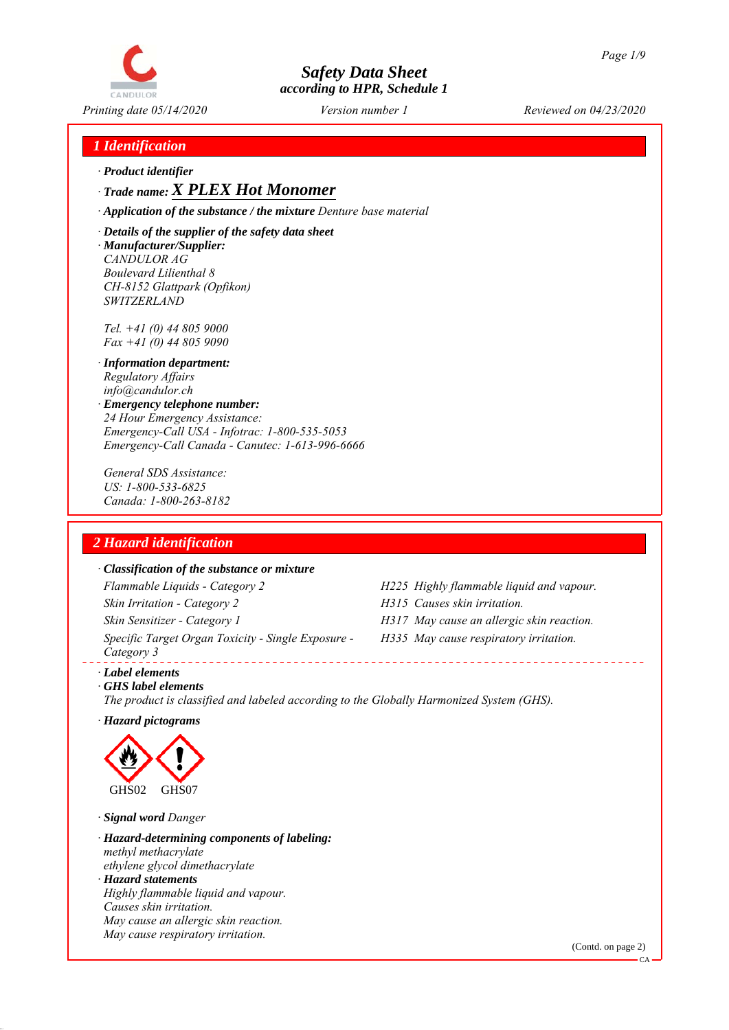

## *1 Identification*

*ꞏ Product identifier*

*ꞏ Trade name: X PLEX Hot Monomer*

*ꞏ Application of the substance / the mixture Denture base material*

*ꞏ Details of the supplier of the safety data sheet ꞏ Manufacturer/Supplier: CANDULOR AG Boulevard Lilienthal 8 CH-8152 Glattpark (Opfikon) SWITZERLAND*

*Tel. +41 (0) 44 805 9000 Fax +41 (0) 44 805 9090*

- *ꞏ Information department: Regulatory Affairs info@candulor.ch*
- *ꞏ Emergency telephone number: 24 Hour Emergency Assistance: Emergency-Call USA - Infotrac: 1-800-535-5053 Emergency-Call Canada - Canutec: 1-613-996-6666*

*General SDS Assistance: US: 1-800-533-6825 Canada: 1-800-263-8182*

## *2 Hazard identification*

## *ꞏ Classification of the substance or mixture*

*Flammable Liquids - Category 2 H225 Highly flammable liquid and vapour. Skin Irritation - Category 2 H315 Causes skin irritation. Skin Sensitizer - Category 1 H317 May cause an allergic skin reaction. Specific Target Organ Toxicity - Single Exposure - Category 3* 

- 
- 
- *H335 May cause respiratory irritation.*

*ꞏ Label elements*

*ꞏ GHS label elements The product is classified and labeled according to the Globally Harmonized System (GHS).*

*ꞏ Hazard pictograms*



*ꞏ Signal word Danger*

*ꞏ Hazard-determining components of labeling: methyl methacrylate ethylene glycol dimethacrylate ꞏ Hazard statements Highly flammable liquid and vapour. Causes skin irritation. May cause an allergic skin reaction. May cause respiratory irritation.*

(Contd. on page 2)

CA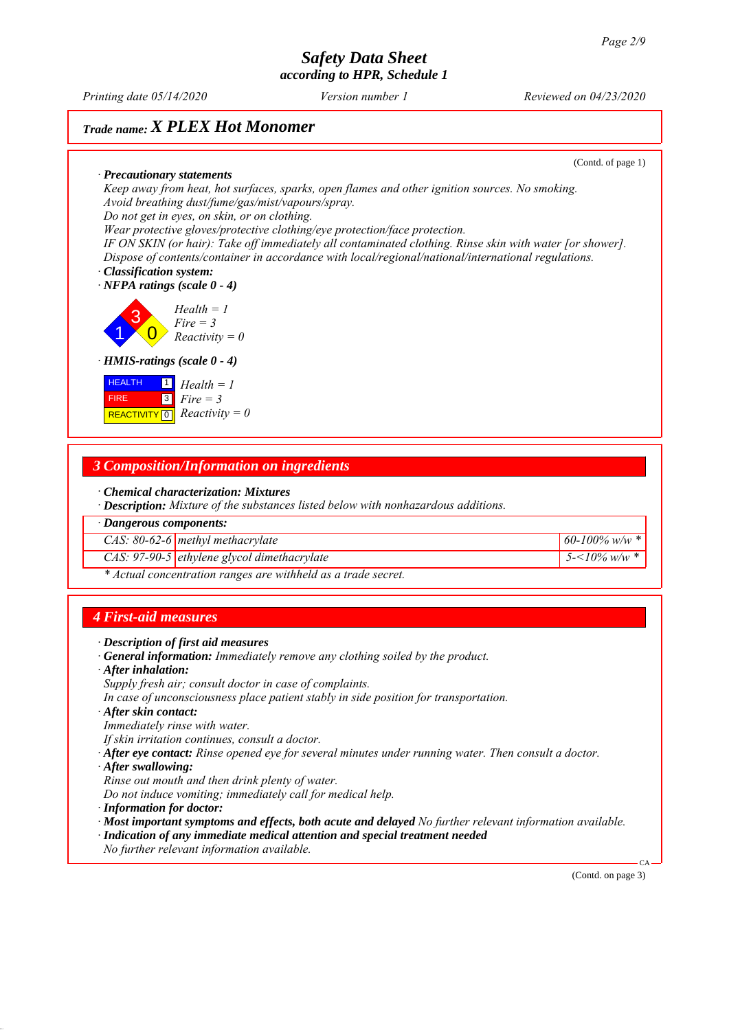*Printing date 05/14/2020 Reviewed on 04/23/2020 Version number 1*

## *Trade name: X PLEX Hot Monomer*

(Contd. of page 1)

*ꞏ Precautionary statements Keep away from heat, hot surfaces, sparks, open flames and other ignition sources. No smoking. Avoid breathing dust/fume/gas/mist/vapours/spray. Do not get in eyes, on skin, or on clothing. Wear protective gloves/protective clothing/eye protection/face protection.*

*IF ON SKIN (or hair): Take off immediately all contaminated clothing. Rinse skin with water [or shower]. Dispose of contents/container in accordance with local/regional/national/international regulations.*

*ꞏ Classification system: ꞏ NFPA ratings (scale 0 - 4)*

1 3  $\overline{0}$ *Health = 1 Fire = 3 Reactivity = 0*

### *ꞏ HMIS-ratings (scale 0 - 4)*

| <b>HEALTH</b> | $\boxed{1}$ Health = 1                                                       |
|---------------|------------------------------------------------------------------------------|
| <b>FIRE</b>   | $\begin{array}{ c } \hline \hline 3 & \text{Fire} = 3 \\ \hline \end{array}$ |
|               | REACTIVITY $\boxed{0}$ <i>Reactivity</i> = 0                                 |

## *3 Composition/Information on ingredients*

*ꞏ Chemical characterization: Mixtures*

*ꞏ Description: Mixture of the substances listed below with nonhazardous additions.*

*ꞏ Dangerous components:*

*CAS: 80-62-6 methyl methacrylate 60-100% w/w \**

*CAS: 97-90-5 ethylene glycol dimethacrylate 5-<10% w/w \**

*\* Actual concentration ranges are withheld as a trade secret.*

## *4 First-aid measures*

- *ꞏ Description of first aid measures*
- *ꞏ General information: Immediately remove any clothing soiled by the product.*
- *ꞏ After inhalation:*
- *Supply fresh air; consult doctor in case of complaints.*
- *In case of unconsciousness place patient stably in side position for transportation.*
- *ꞏ After skin contact:*
- *Immediately rinse with water.*
- *If skin irritation continues, consult a doctor.*
- *ꞏ After eye contact: Rinse opened eye for several minutes under running water. Then consult a doctor.*
- *ꞏ After swallowing:*
- *Rinse out mouth and then drink plenty of water.*
- *Do not induce vomiting; immediately call for medical help.*
- *ꞏ Information for doctor:*
- *ꞏ Most important symptoms and effects, both acute and delayed No further relevant information available.*
- *ꞏ Indication of any immediate medical attention and special treatment needed*
- *No further relevant information available.*

(Contd. on page 3)

CA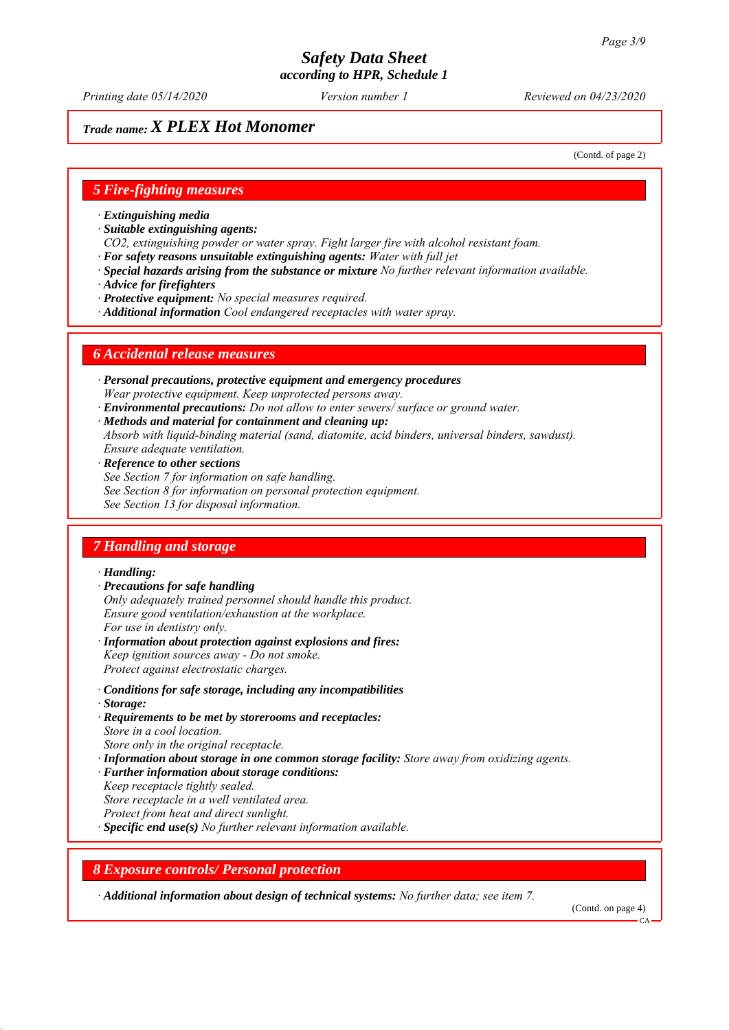*Printing date 05/14/2020 Reviewed on 04/23/2020 Version number 1*

## *Trade name: X PLEX Hot Monomer*

(Contd. of page 2)

## *5 Fire-fighting measures*

- *ꞏ Extinguishing media*
- *ꞏ Suitable extinguishing agents:*
- *CO2, extinguishing powder or water spray. Fight larger fire with alcohol resistant foam.*
- *ꞏ For safety reasons unsuitable extinguishing agents: Water with full jet*
- *ꞏ Special hazards arising from the substance or mixture No further relevant information available.*
- *ꞏ Advice for firefighters*
- *ꞏ Protective equipment: No special measures required.*
- *ꞏ Additional information Cool endangered receptacles with water spray.*

## *6 Accidental release measures*

- *ꞏ Personal precautions, protective equipment and emergency procedures Wear protective equipment. Keep unprotected persons away.*
- *ꞏ Environmental precautions: Do not allow to enter sewers/ surface or ground water.*
- *ꞏ Methods and material for containment and cleaning up:*
- *Absorb with liquid-binding material (sand, diatomite, acid binders, universal binders, sawdust). Ensure adequate ventilation.*
- *ꞏ Reference to other sections*
- *See Section 7 for information on safe handling.*
- *See Section 8 for information on personal protection equipment.*
- *See Section 13 for disposal information.*

## *7 Handling and storage*

## *ꞏ Handling:*

- *ꞏ Precautions for safe handling Only adequately trained personnel should handle this product. Ensure good ventilation/exhaustion at the workplace. For use in dentistry only.*
- *ꞏ Information about protection against explosions and fires: Keep ignition sources away - Do not smoke. Protect against electrostatic charges.*
- *ꞏ Conditions for safe storage, including any incompatibilities ꞏ Storage:*
- *ꞏ Requirements to be met by storerooms and receptacles: Store in a cool location. Store only in the original receptacle.*
- *ꞏ Information about storage in one common storage facility: Store away from oxidizing agents.*
- *ꞏ Further information about storage conditions:*
- *Keep receptacle tightly sealed.*
- *Store receptacle in a well ventilated area.*
- *Protect from heat and direct sunlight.*
- *ꞏ Specific end use(s) No further relevant information available.*

## *8 Exposure controls/ Personal protection*

*ꞏ Additional information about design of technical systems: No further data; see item 7.*

(Contd. on page 4)

CA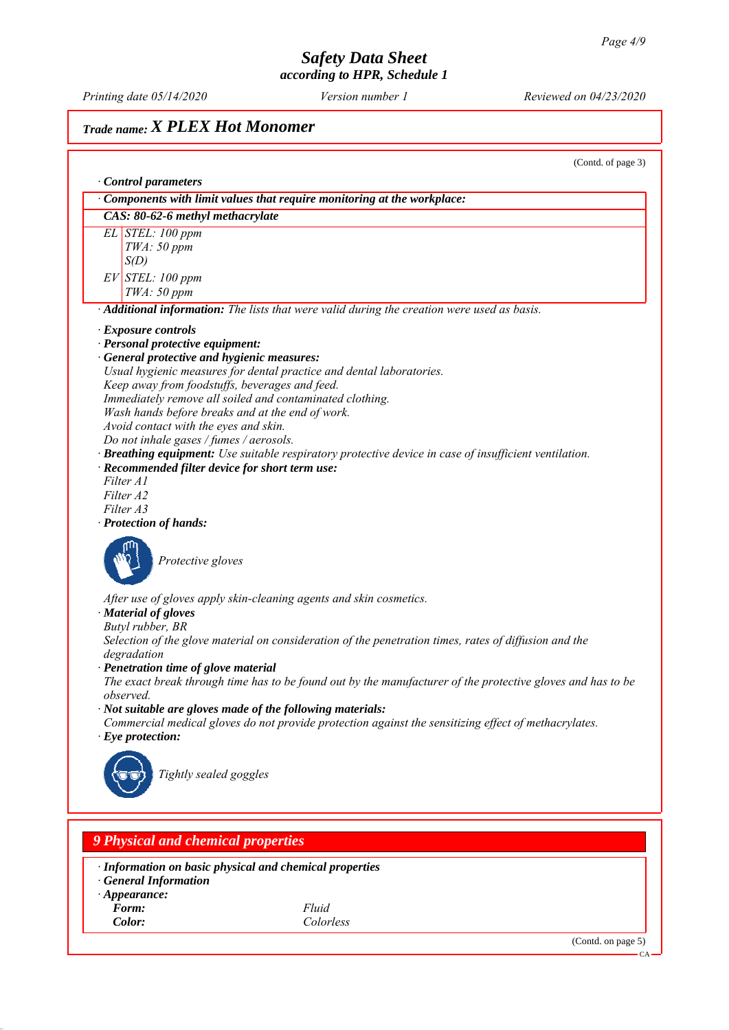*Printing date 05/14/2020 Reviewed on 04/23/2020 Version number 1*

## *Trade name: X PLEX Hot Monomer*

(Contd. of page 3) *ꞏ Control parameters ꞏ Components with limit values that require monitoring at the workplace: CAS: 80-62-6 methyl methacrylate EL STEL: 100 ppm TWA: 50 ppm S(D) EV STEL: 100 ppm TWA: 50 ppm ꞏ Additional information: The lists that were valid during the creation were used as basis. ꞏ Exposure controls ꞏ Personal protective equipment: ꞏ General protective and hygienic measures: Usual hygienic measures for dental practice and dental laboratories. Keep away from foodstuffs, beverages and feed. Immediately remove all soiled and contaminated clothing. Wash hands before breaks and at the end of work. Avoid contact with the eyes and skin. Do not inhale gases / fumes / aerosols. ꞏ Breathing equipment: Use suitable respiratory protective device in case of insufficient ventilation. ꞏ Recommended filter device for short term use: Filter A1 Filter A2 Filter A3 ꞏ Protection of hands: Protective gloves After use of gloves apply skin-cleaning agents and skin cosmetics. ꞏ Material of gloves Butyl rubber, BR Selection of the glove material on consideration of the penetration times, rates of diffusion and the degradation ꞏ Penetration time of glove material The exact break through time has to be found out by the manufacturer of the protective gloves and has to be observed. ꞏ Not suitable are gloves made of the following materials: Commercial medical gloves do not provide protection against the sensitizing effect of methacrylates. ꞏ Eye protection: Tightly sealed goggles 9 Physical and chemical properties*

*ꞏ Information on basic physical and chemical properties*

- *ꞏ General Information*
- *ꞏ Appearance:*
- *Form: Fluid*

*Color: Colorless*

(Contd. on page 5)

CA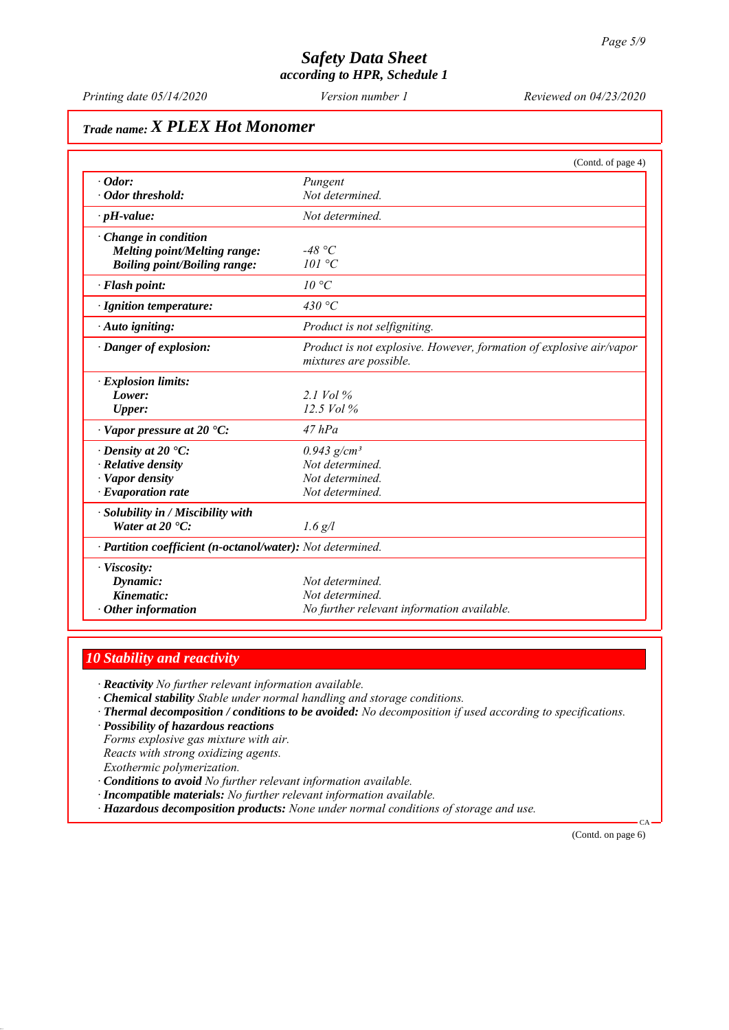*Printing date 05/14/2020 Reviewed on 04/23/2020 Version number 1*

## *Trade name: X PLEX Hot Monomer*

|                                                            | (Contd. of page 4)                                                                            |
|------------------------------------------------------------|-----------------------------------------------------------------------------------------------|
| $\cdot$ Odor:                                              | Pungent                                                                                       |
| · Odor threshold:                                          | Not determined.                                                                               |
| $\cdot$ pH-value:                                          | Not determined.                                                                               |
| $\cdot$ Change in condition                                |                                                                                               |
| Melting point/Melting range:                               | -48 °C                                                                                        |
| <b>Boiling point/Boiling range:</b>                        | 101 °C                                                                                        |
| · Flash point:                                             | 10 °C                                                                                         |
| · Ignition temperature:                                    | 430 °C                                                                                        |
| · Auto igniting:                                           | Product is not selfigniting.                                                                  |
| · Danger of explosion:                                     | Product is not explosive. However, formation of explosive air/vapor<br>mixtures are possible. |
| · Explosion limits:                                        |                                                                                               |
| Lower:                                                     | 2.1 Vol $\%$                                                                                  |
| <b>Upper:</b>                                              | 12.5 Vol %                                                                                    |
| $\cdot$ Vapor pressure at 20 $\cdot$ C:                    | $47$ $hPa$                                                                                    |
| $\cdot$ Density at 20 $\cdot$ C:                           | $0.943$ g/cm <sup>3</sup>                                                                     |
| · Relative density                                         | Not determined.                                                                               |
| · Vapor density                                            | Not determined.                                                                               |
| $\cdot$ Evaporation rate                                   | Not determined.                                                                               |
| Solubility in / Miscibility with                           |                                                                                               |
| Water at $20 \text{ }^{\circ}C$ :                          | $1.6$ g/l                                                                                     |
| · Partition coefficient (n-octanol/water): Not determined. |                                                                                               |
| · Viscosity:                                               |                                                                                               |
| Dynamic:                                                   | Not determined.                                                                               |
| Kinematic:                                                 | Not determined.                                                                               |
| $\cdot$ Other information                                  | No further relevant information available.                                                    |

## *10 Stability and reactivity*

*ꞏ Reactivity No further relevant information available.*

- *ꞏ Chemical stability Stable under normal handling and storage conditions.*
- *ꞏ Thermal decomposition / conditions to be avoided: No decomposition if used according to specifications.*
- *ꞏ Possibility of hazardous reactions*

*Forms explosive gas mixture with air. Reacts with strong oxidizing agents. Exothermic polymerization.*

- *ꞏ Conditions to avoid No further relevant information available.*
- *ꞏ Incompatible materials: No further relevant information available.*
- *ꞏ Hazardous decomposition products: None under normal conditions of storage and use.*

(Contd. on page 6)

CA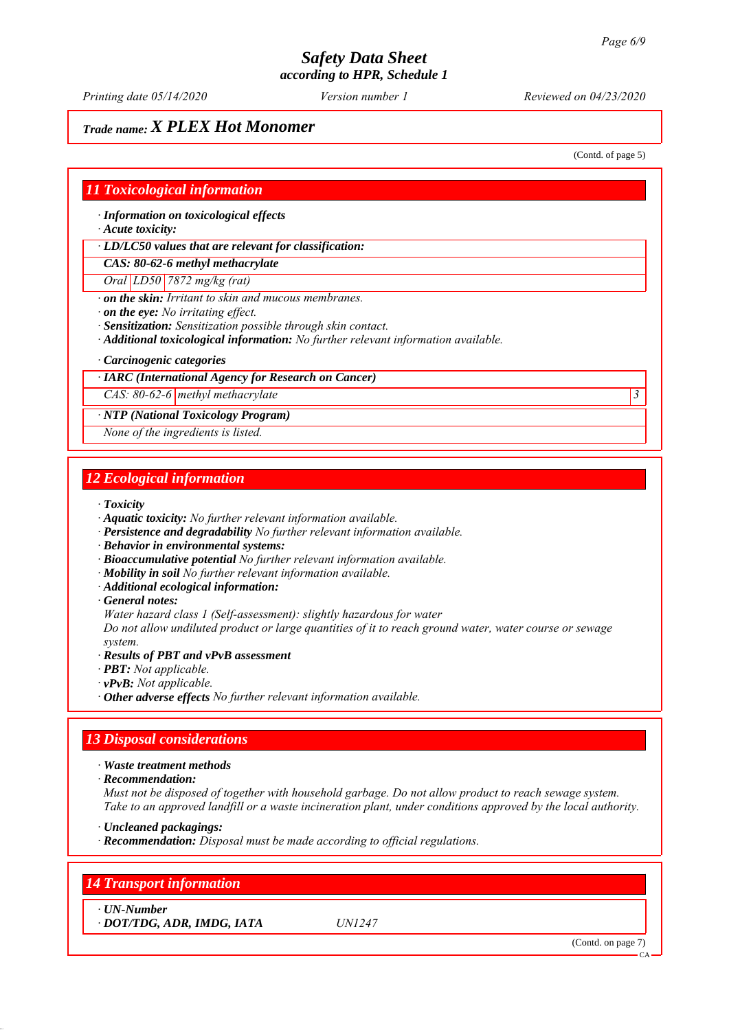*Printing date 05/14/2020 Reviewed on 04/23/2020 Version number 1*

## *Trade name: X PLEX Hot Monomer*

(Contd. of page 5)

## *11 Toxicological information*

*ꞏ Information on toxicological effects*

*ꞏ Acute toxicity:*

*ꞏ LD/LC50 values that are relevant for classification:*

*CAS: 80-62-6 methyl methacrylate*

*Oral LD50 7872 mg/kg (rat)*

*ꞏ on the skin: Irritant to skin and mucous membranes.*

*ꞏ on the eye: No irritating effect.*

*ꞏ Sensitization: Sensitization possible through skin contact.*

*ꞏ Additional toxicological information: No further relevant information available.*

#### *ꞏ Carcinogenic categories*

### *ꞏ IARC (International Agency for Research on Cancer)*

*CAS: 80-62-6 methyl methacrylate 3* 

### *ꞏ NTP (National Toxicology Program)*

*None of the ingredients is listed.*

## *12 Ecological information*

*ꞏ Toxicity*

- *ꞏ Aquatic toxicity: No further relevant information available.*
- *ꞏ Persistence and degradability No further relevant information available.*
- *ꞏ Behavior in environmental systems:*
- *ꞏ Bioaccumulative potential No further relevant information available.*
- *ꞏ Mobility in soil No further relevant information available.*
- *ꞏ Additional ecological information:*
- *ꞏ General notes:*

*Water hazard class 1 (Self-assessment): slightly hazardous for water*

*Do not allow undiluted product or large quantities of it to reach ground water, water course or sewage system.*

#### *ꞏ Results of PBT and vPvB assessment*

- *ꞏ PBT: Not applicable.*
- *ꞏ vPvB: Not applicable.*
- *ꞏ Other adverse effects No further relevant information available.*

## *13 Disposal considerations*

*ꞏ Waste treatment methods*

*ꞏ Recommendation:*

*Must not be disposed of together with household garbage. Do not allow product to reach sewage system. Take to an approved landfill or a waste incineration plant, under conditions approved by the local authority.*

*ꞏ Uncleaned packagings:*

*ꞏ Recommendation: Disposal must be made according to official regulations.*

## *14 Transport information*

*ꞏ UN-Number*

*ꞏ DOT/TDG, ADR, IMDG, IATA UN1247*

(Contd. on page 7)

CA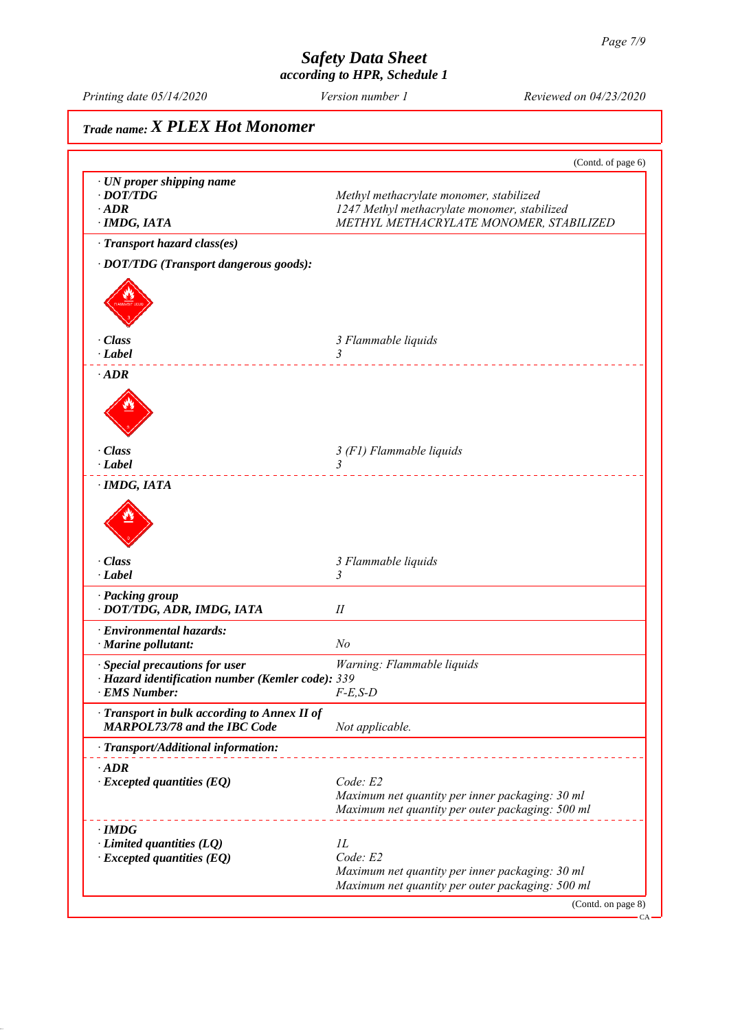CA

## *Safety Data Sheet according to HPR, Schedule 1*

*Printing date 05/14/2020 Reviewed on 04/23/2020 Version number 1*

# *Trade name: X PLEX Hot Monomer* (Contd. of page 6) *ꞏ UN proper shipping name • DOT/TDG Methyl methacrylate monomer, stabilized ꞏ ADR 1247 Methyl methacrylate monomer, stabilized ꞏ IMDG, IATA METHYL METHACRYLATE MONOMER, STABILIZED ꞏ Transport hazard class(es) ꞏ DOT/TDG (Transport dangerous goods): ꞏ Class 3 Flammable liquids ꞏ Label 3*  <u>. . . . . . . . . . . . . .</u> *ꞏ ADR ꞏ Class 3 (F1) Flammable liquids ꞏ Label 3*  . . . . . . . . . . . . . . . . *ꞏ IMDG, IATA ꞏ Class 3 Flammable liquids ꞏ Label 3 ꞏ Packing group ꞏ DOT/TDG, ADR, IMDG, IATA II ꞏ Environmental hazards: ꞏ Marine pollutant: No ꞏ Special precautions for user Warning: Flammable liquids ꞏ Hazard identification number (Kemler code): 339 <i><u>EMS Number:</u> ꞏ Transport in bulk according to Annex II of MARPOL73/78 and the IBC Code Not applicable. ꞏ Transport/Additional information:* . <u>. . . . . . . . . . . . . . . . .</u> . . *ꞏ ADR ꞏ Excepted quantities (EQ) Code: E2 Maximum net quantity per inner packaging: 30 ml Maximum net quantity per outer packaging: 500 ml ꞏ IMDG Limited quantities (LQ) 1L*<br>*Excepted quantities (EO) Code: E2*  $\cdot$  *Excepted quantities (EQ) Maximum net quantity per inner packaging: 30 ml Maximum net quantity per outer packaging: 500 ml* (Contd. on page 8)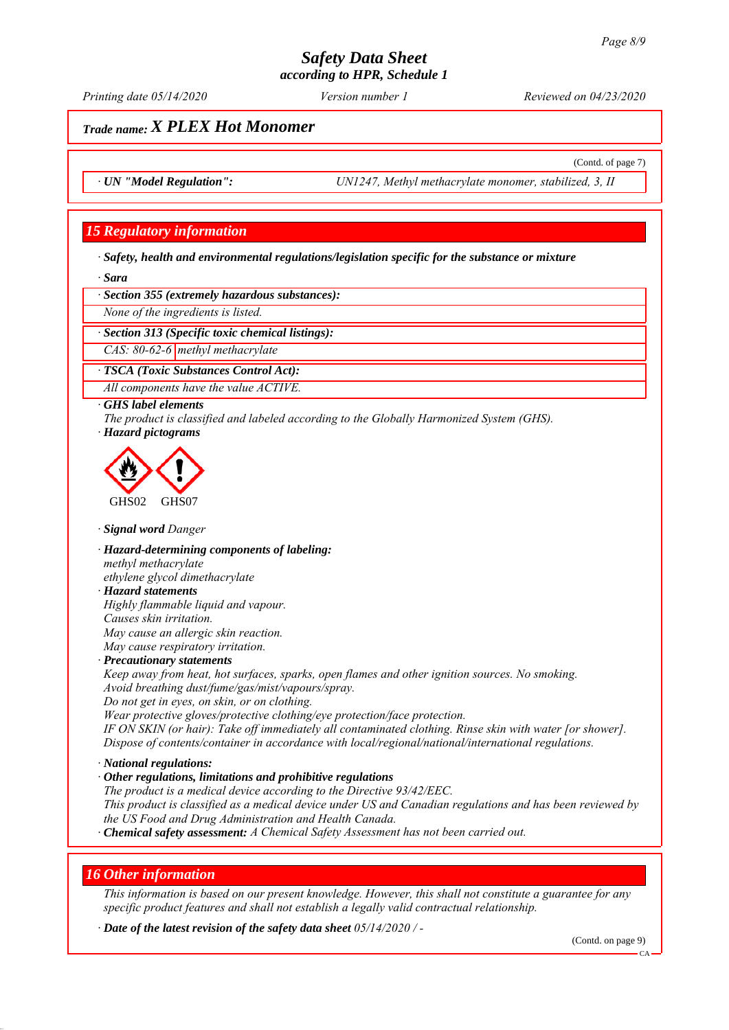*Printing date 05/14/2020 Reviewed on 04/23/2020 Version number 1*

(Contd. of page 7)

## *Trade name: X PLEX Hot Monomer*

*ꞏ UN "Model Regulation": UN1247, Methyl methacrylate monomer, stabilized, 3, II*

## *15 Regulatory information*

*ꞏ Safety, health and environmental regulations/legislation specific for the substance or mixture*

*ꞏ Sara*

*ꞏ Section 355 (extremely hazardous substances):*

*None of the ingredients is listed.*

*ꞏ Section 313 (Specific toxic chemical listings):*

*CAS: 80-62-6 methyl methacrylate*

*ꞏ TSCA (Toxic Substances Control Act):*

*All components have the value ACTIVE.*

#### *ꞏ GHS label elements*

*The product is classified and labeled according to the Globally Harmonized System (GHS). ꞏ Hazard pictograms*



*ꞏ Signal word Danger*

*ꞏ Hazard-determining components of labeling: methyl methacrylate ethylene glycol dimethacrylate*

## *ꞏ Hazard statements*

*Highly flammable liquid and vapour. Causes skin irritation. May cause an allergic skin reaction. May cause respiratory irritation.*

#### *ꞏ Precautionary statements*

*Keep away from heat, hot surfaces, sparks, open flames and other ignition sources. No smoking. Avoid breathing dust/fume/gas/mist/vapours/spray.*

*Do not get in eyes, on skin, or on clothing.*

*Wear protective gloves/protective clothing/eye protection/face protection.*

*IF ON SKIN (or hair): Take off immediately all contaminated clothing. Rinse skin with water [or shower]. Dispose of contents/container in accordance with local/regional/national/international regulations.*

### *ꞏ National regulations:*

*ꞏ Other regulations, limitations and prohibitive regulations The product is a medical device according to the Directive 93/42/EEC. This product is classified as a medical device under US and Canadian regulations and has been reviewed by the US Food and Drug Administration and Health Canada. ꞏ Chemical safety assessment: A Chemical Safety Assessment has not been carried out.*

## *16 Other information*

*This information is based on our present knowledge. However, this shall not constitute a guarantee for any specific product features and shall not establish a legally valid contractual relationship.*

*ꞏ Date of the latest revision of the safety data sheet 05/14/2020 / -*

(Contd. on page 9)

CA